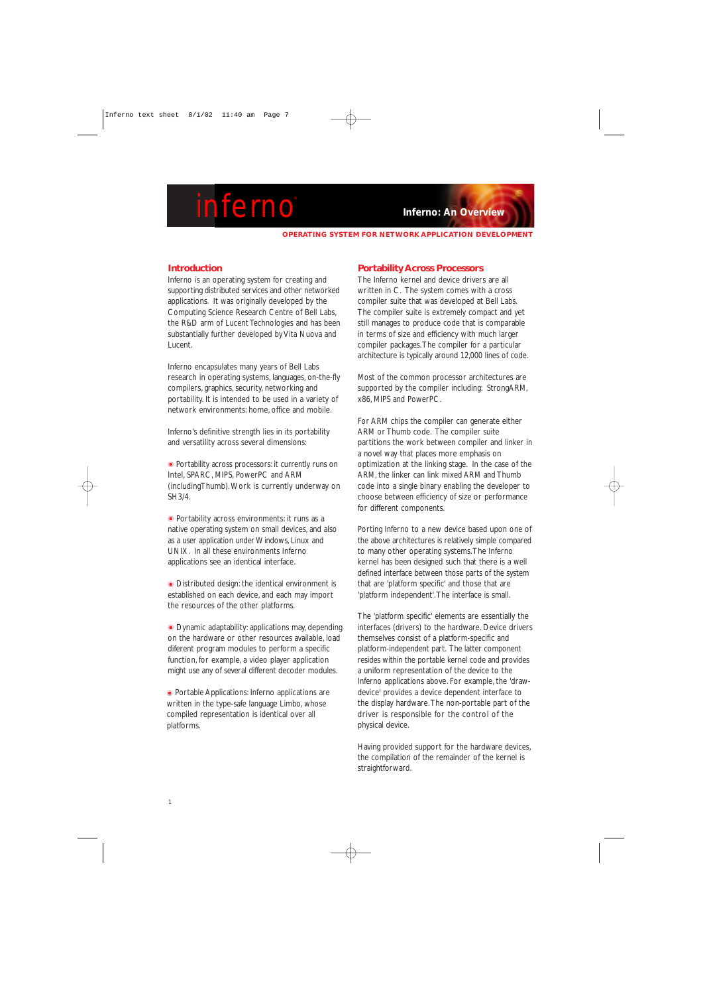**OPERATING SYSTEM FOR NETWORK APPLICATION DEVELOPMENT**

### **Introduction**

Inferno is an operating system for creating and supporting distributed services and other networked applications. It was originally developed by the Computing Science Research Centre of Bell Labs, the R&D arm of Lucent Technologies and has been substantially further developed by Vita Nuova and Lucent.

Inferno encapsulates many years of Bell Labs research in operating systems, languages, on-the-fly compilers, graphics, security, networking and portability. It is intended to be used in a variety of network environments: home, office and mobile.

Inferno's definitive strength lies in its portability and versatility across several dimensions:

• Portability across processors: it currently runs on Intel, SPARC, MIPS, PowerPC and ARM (includingThumb).Work is currently underway on SH3/4.

 $\bullet$  Portability across environments: it runs as a native operating system on small devices, and also as a user application under Windows, Linux and UNIX. In all these environments Inferno applications see an identical interface.

 $\bullet$  Distributed design: the identical environment is established on each device, and each may import the resources of the other platforms.

 $\bullet$  Dynamic adaptability: applications may, depending on the hardware or other resources available, load diferent program modules to perform a specific function, for example, a video player application might use any of several different decoder modules.

 $\bullet$  Portable Applications: Inferno applications are written in the type-safe language Limbo, whose compiled representation is identical over all platforms.

#### **Portability Across Processors**

The Inferno kernel and device drivers are all written in C. The system comes with a cross compiler suite that was developed at Bell Labs. The compiler suite is extremely compact and yet still manages to produce code that is comparable in terms of size and efficiency with much larger compiler packages.The compiler for a particular architecture is typically around 12,000 lines of code.

Most of the common processor architectures are supported by the compiler including: StrongARM, x86, MIPS and PowerPC.

For ARM chips the compiler can generate either ARM or Thumb code. The compiler suite partitions the work between compiler and linker in a novel way that places more emphasis on optimization at the linking stage. In the case of the ARM, the linker can link mixed ARM and Thumb code into a single binary enabling the developer to choose between efficiency of size or performance for different components.

Porting Inferno to a new device based upon one of the above architectures is relatively simple compared to many other operating systems.The Inferno kernel has been designed such that there is a well defined interface between those parts of the system that are 'platform specific' and those that are 'platform independent'.The interface is small.

The 'platform specific' elements are essentially the interfaces (drivers) to the hardware. Device drivers themselves consist of a platform-specific and platform-independent part. The latter component resides within the portable kernel code and provides a uniform representation of the device to the Inferno applications above. For example, the 'drawdevice' provides a device dependent interface to the display hardware.The non-portable part of the driver is responsible for the control of the physical device.

Having provided support for the hardware devices, the compilation of the remainder of the kernel is straightforward.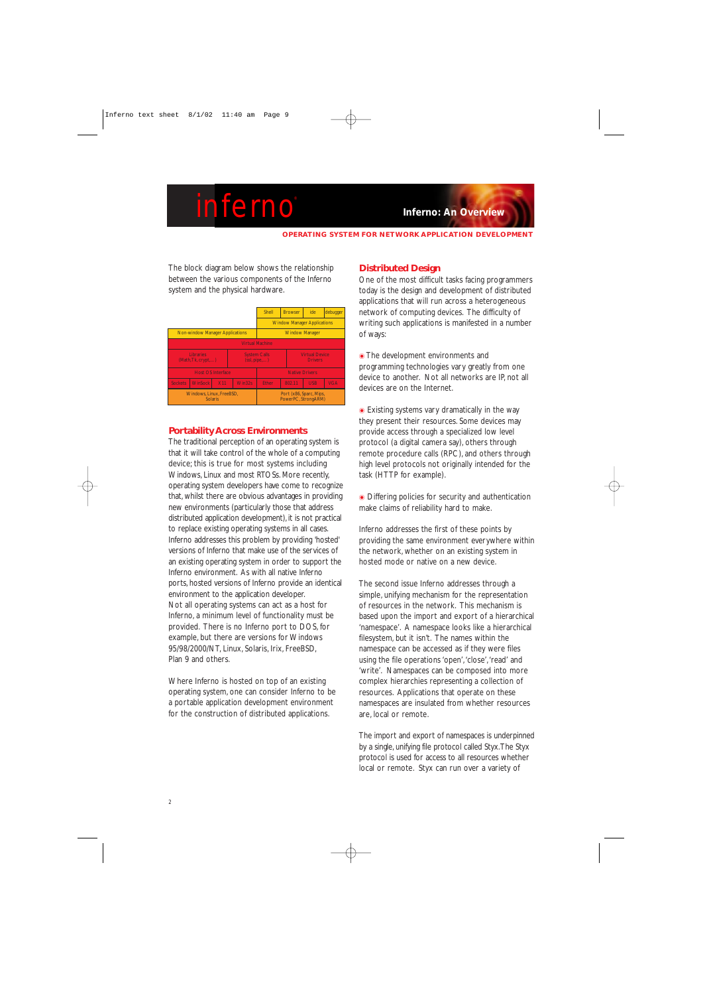**OPERATING SYSTEM FOR NETWORK APPLICATION DEVELOPMENT**

The block diagram below shows the relationship between the various components of the Inferno system and the physical hardware.

|                                            |                                        |            |                                     | Shell                                          | <b>Browser</b> | ide                                     | debugger   |  |  |  |  |
|--------------------------------------------|----------------------------------------|------------|-------------------------------------|------------------------------------------------|----------------|-----------------------------------------|------------|--|--|--|--|
|                                            |                                        |            |                                     | <b>Window Manager Applications</b>             |                |                                         |            |  |  |  |  |
|                                            | <b>Non-window Manager Applications</b> |            |                                     | <b>Window Manager</b>                          |                |                                         |            |  |  |  |  |
| <b>Virtual Machine</b>                     |                                        |            |                                     |                                                |                |                                         |            |  |  |  |  |
|                                            | <b>Libraries</b><br>(Math, Tk, crypt)  |            | <b>System Calls</b><br>(ssl, pipe,) |                                                |                | <b>Virtual Device</b><br><b>Drivers</b> |            |  |  |  |  |
|                                            | <b>Host OS Interface</b>               |            |                                     | <b>Native Drivers</b>                          |                |                                         |            |  |  |  |  |
| <b>Sockets</b>                             | <b>WinSock</b>                         | <b>X11</b> | Win32s                              | <b>Ether</b>                                   | 802.11         | <b>USB</b>                              | <b>VGA</b> |  |  |  |  |
| Windows, Linux, FreeBSD,<br><b>Solaris</b> |                                        |            |                                     | Port (x86, Sparc, Mips,<br>PowerPC, StrongARM) |                |                                         |            |  |  |  |  |

### **Portability Across Environments**

The traditional perception of an operating system is that it will take control of the whole of a computing device; this is true for most systems including Windows, Linux and most RTOSs. More recently, operating system developers have come to recognize that, whilst there are obvious advantages in providing new environments (particularly those that address distributed application development), it is not practical to replace existing operating systems in all cases. Inferno addresses this problem by providing 'hosted' versions of Inferno that make use of the services of an existing operating system in order to support the Inferno environment. As with all native Inferno ports, hosted versions of Inferno provide an identical environment to the application developer. Not all operating systems can act as a host for Inferno, a minimum level of functionality must be provided. There is no Inferno port to DOS, for example, but there are versions for Windows 95/98/2000/NT, Linux, Solaris, Irix, FreeBSD, Plan 9 and others.

Where Inferno is hosted on top of an existing operating system, one can consider Inferno to be a portable application development environment for the construction of distributed applications.

### **Distributed Design**

One of the most difficult tasks facing programmers today is the design and development of distributed applications that will run across a heterogeneous network of computing devices. The difficulty of writing such applications is manifested in a number of ways:

**• The development environments and** programming technologies vary greatly from one device to another. Not all networks are IP not all devices are on the Internet.

 $\bullet$  Existing systems vary dramatically in the way they present their resources. Some devices may provide access through a specialized low level protocol (a digital camera say), others through remote procedure calls (RPC), and others through high level protocols not originally intended for the task (HTTP for example).

 $\bullet$  Differing policies for security and authentication make claims of reliability hard to make.

Inferno addresses the first of these points by providing the same environment everywhere within the network, whether on an existing system in hosted mode or native on a new device.

The second issue Inferno addresses through a simple, unifying mechanism for the representation of resources in the network. This mechanism is based upon the import and export of a hierarchical 'namespace'. A namespace looks like a hierarchical filesystem, but it isn't. The names within the namespace can be accessed as if they were files using the file operations 'open', 'close', 'read' and 'write'. Namespaces can be composed into more complex hierarchies representing a collection of resources. Applications that operate on these namespaces are insulated from whether resources are, local or remote.

The import and export of namespaces is underpinned by a single, unifying file protocol called Styx.The Styx protocol is used for access to all resources whether local or remote. Styx can run over a variety of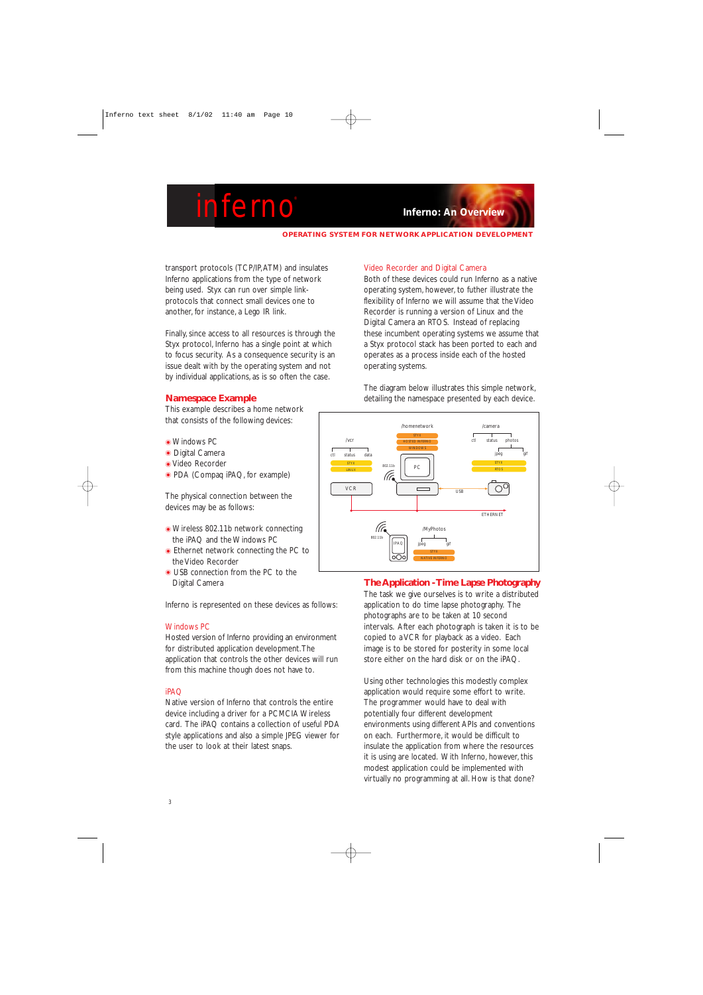**OPERATING SYSTEM FOR NETWORK APPLICATION DEVELOPMENT**

transport protocols (TCP/IP,ATM) and insulates Inferno applications from the type of network being used. Styx can run over simple linkprotocols that connect small devices one to another, for instance, a Lego IR link.

Finally, since access to all resources is through the Styx protocol, Inferno has a single point at which to focus security. As a consequence security is an issue dealt with by the operating system and not by individual applications, as is so often the case.

### **Namespace Example**

This example describes a home network that consists of the following devices:

- $\bullet$  Windows PC
- $\odot$  Digital Camera
- Video Recorder
- PDA (Compaq iPAQ, for example)

The physical connection between the devices may be as follows:

- Wireless 802.11b network connecting the iPAQ and the Windows PC
- $\bullet$  Ethernet network connecting the PC to the Video Recorder
- $\bullet$  USB connection from the PC to the Digital Camera

Inferno is represented on these devices as follows:

#### Windows PC

Hosted version of Inferno providing an environment for distributed application development.The application that controls the other devices will run from this machine though does not have to.

#### iPAQ

Native version of Inferno that controls the entire device including a driver for a PCMCIA Wireless card. The iPAQ contains a collection of useful PDA style applications and also a simple JPEG viewer for the user to look at their latest snaps.

#### Video Recorder and Digital Camera

Both of these devices could run Inferno as a native operating system, however, to futher illustrate the flexibility of Inferno we will assume that the Video Recorder is running a version of Linux and the Digital Camera an RTOS. Instead of replacing these incumbent operating systems we assume that a Styx protocol stack has been ported to each and operates as a process inside each of the hosted operating systems.

The diagram below illustrates this simple network, detailing the namespace presented by each device.



### **The Application - Time Lapse Photography**

The task we give ourselves is to write a distributed application to do time lapse photography. The photographs are to be taken at 10 second intervals. After each photograph is taken it is to be copied to a VCR for playback as a video. Each image is to be stored for posterity in some local store either on the hard disk or on the iPAQ.

Using other technologies this modestly complex application would require some effort to write. The programmer would have to deal with potentially four different development environments using different APIs and conventions on each. Furthermore, it would be difficult to insulate the application from where the resources it is using are located. With Inferno, however, this modest application could be implemented with virtually no programming at all. How is that done?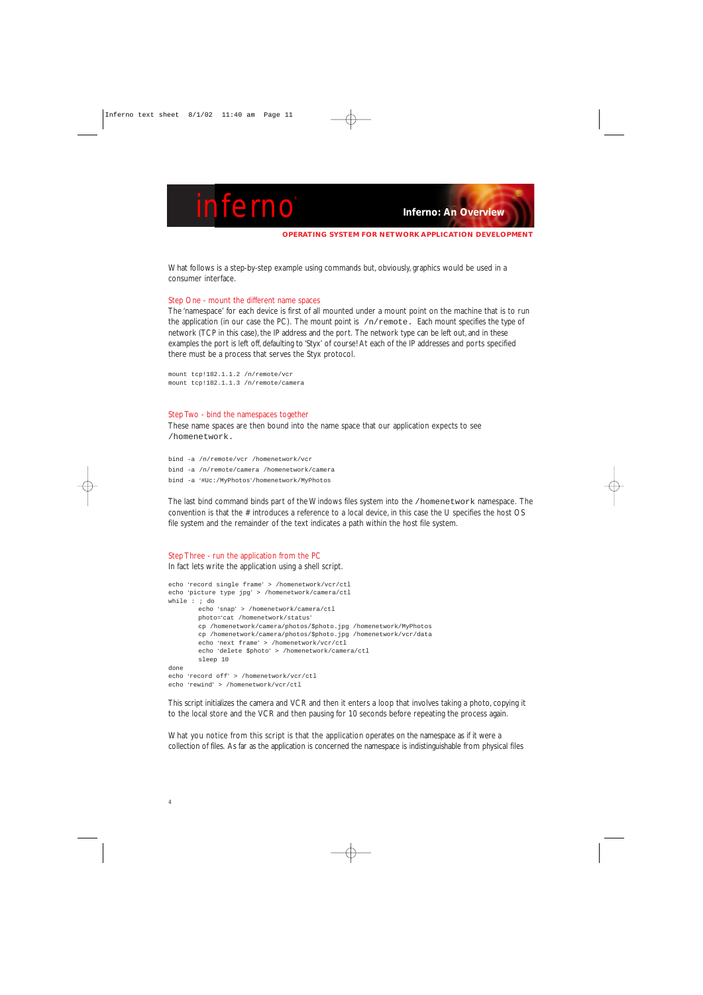```
OPERATING SYSTEM FOR NETWORK APPLICATION DEVELOPMENT
```
What follows is a step-by-step example using commands but, obviously, graphics would be used in a consumer interface.

#### Step One - mount the different name spaces

The 'namespace' for each device is first of all mounted under a mount point on the machine that is to run the application (in our case the PC). The mount point is  $/n/r$ emote. Each mount specifies the type of network (TCP in this case), the IP address and the port. The network type can be left out, and in these examples the port is left off, defaulting to 'Styx' of course! At each of the IP addresses and ports specified there must be a process that serves the Styx protocol.

```
mount tcp!182.1.1.2 /n/remote/vcr
mount tcp!182.1.1.3 /n/remote/camera
```
#### Step Two - bind the namespaces together

These name spaces are then bound into the name space that our application expects to see /homenetwork.

```
bind -a /n/remote/vcr /homenetwork/vcr
bind -a /n/remote/camera /homenetwork/camera
bind -a '#Uc:/MyPhotos'/homenetwork/MyPhotos
```
The last bind command binds part of the Windows files system into the /homenetwork namespace. The convention is that the # introduces a reference to a local device, in this case the U specifies the host OS file system and the remainder of the text indicates a path within the host file system.

#### Step Three - run the application from the PC

In fact lets write the application using a shell script.

```
echo 'record single frame' > /homenetwork/vcr/ctl
echo 'picture type jpg' > /homenetwork/camera/ctl
while : ; do
       echo 'snap' > /homenetwork/camera/ctl
       photo='cat /homenetwork/status'
       cp /homenetwork/camera/photos/$photo.jpg /homenetwork/MyPhotos
       cp /homenetwork/camera/photos/$photo.jpg /homenetwork/vcr/data
       echo 'next frame' > /homenetwork/vcr/ctl
       echo 'delete $photo' > /homenetwork/camera/ctl
       sleep 10
done
echo 'record off' > /homenetwork/vcr/ctl
echo 'rewind' > /homenetwork/vcr/ctl
```
This script initializes the camera and VCR and then it enters a loop that involves taking a photo, copying it to the local store and the VCR and then pausing for 10 seconds before repeating the process again.

What you notice from this script is that the application operates on the namespace as if it were a collection of files. As far as the application is concerned the namespace is indistinguishable from physical files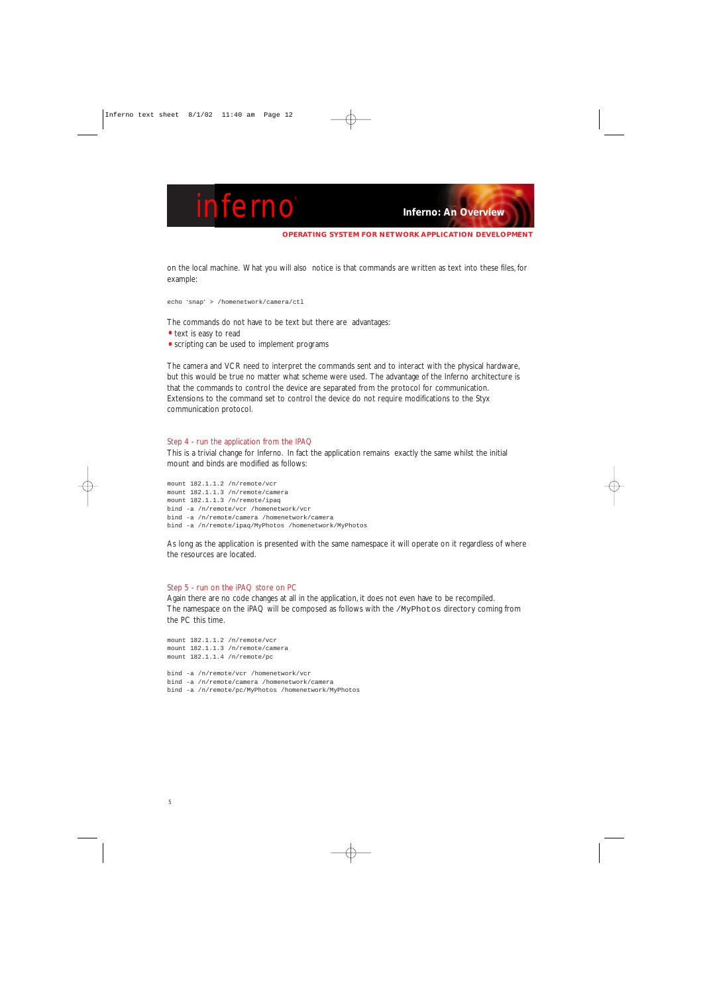**OPERATING SYSTEM FOR NETWORK APPLICATION DEVELOPMENT**

on the local machine. What you will also notice is that commands are written as text into these files, for example:

echo 'snap' > /homenetwork/camera/ctl

The commands do not have to be text but there are advantages:

- text is easy to read
- scripting can be used to implement programs

The camera and VCR need to interpret the commands sent and to interact with the physical hardware, but this would be true no matter what scheme were used. The advantage of the Inferno architecture is that the commands to control the device are separated from the protocol for communication. Extensions to the command set to control the device do not require modifications to the Styx communication protocol.

#### Step 4 - run the application from the IPAQ

This is a trivial change for Inferno. In fact the application remains exactly the same whilst the initial mount and binds are modified as follows:

mount 182.1.1.2 /n/remote/vcr mount 182.1.1.3 /n/remote/camera mount 182.1.1.3 /n/remote/ipaq bind -a /n/remote/vcr /homenetwork/vcr bind -a /n/remote/camera /homenetwork/camera bind -a /n/remote/ipaq/MyPhotos /homenetwork/MyPhotos

As long as the application is presented with the same namespace it will operate on it regardless of where the resources are located.

#### Step 5 - run on the iPAQ store on PC

Again there are no code changes at all in the application, it does not even have to be recompiled. The namespace on the iPAQ will be composed as follows with the /MyPhotos directory coming from the PC this time.

```
mount 182.1.1.2 /n/remote/vcr
mount 182.1.1.3 /n/remote/camera
mount 182.1.1.4 /n/remote/pc
bind -a /n/remote/vcr /homenetwork/vcr
bind -a /n/remote/camera /homenetwork/camera
bind -a /n/remote/pc/MyPhotos /homenetwork/MyPhotos
```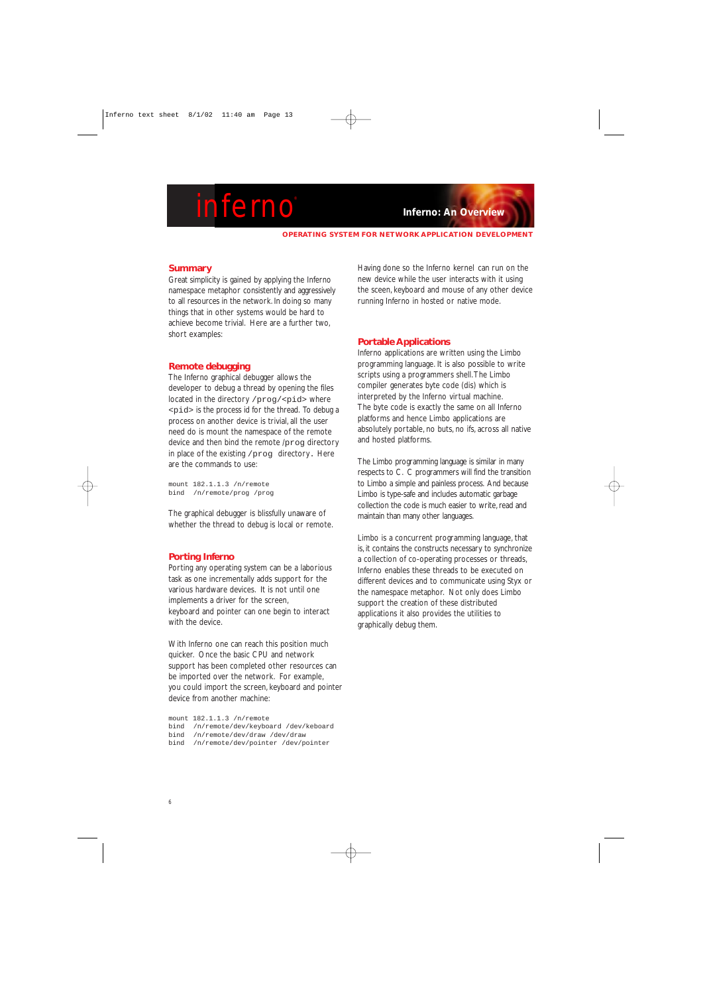**OPERATING SYSTEM FOR NETWORK APPLICATION DEVELOPMENT**

#### **Summary**

Great simplicity is gained by applying the Inferno namespace metaphor consistently and aggressively to all resources in the network. In doing so many things that in other systems would be hard to achieve become trivial. Here are a further two, short examples:

#### **Remote debugging**

The Inferno graphical debugger allows the developer to debug a thread by opening the files located in the directory /prog/<pid> where <pid> is the process id for the thread. To debug a process on another device is trivial, all the user need do is mount the namespace of the remote device and then bind the remote /prog directory in place of the existing /prog directory. Here are the commands to use:

mount 182.1.1.3 /n/remote bind /n/remote/prog /prog

The graphical debugger is blissfully unaware of whether the thread to debug is local or remote.

#### **Porting Inferno**

Porting any operating system can be a laborious task as one incrementally adds support for the various hardware devices. It is not until one implements a driver for the screen, keyboard and pointer can one begin to interact with the device.

With Inferno one can reach this position much quicker. Once the basic CPU and network support has been completed other resources can be imported over the network. For example, you could import the screen, keyboard and pointer device from another machine:

mount 182.1.1.3 /n/remote bind /n/remote/dev/keyboard /dev/keboard bind /n/remote/dev/draw /dev/draw bind /n/remote/dev/pointer /dev/pointer

Having done so the Inferno kernel can run on the new device while the user interacts with it using the sceen, keyboard and mouse of any other device running Inferno in hosted or native mode.

#### **Portable Applications**

Inferno applications are written using the Limbo programming language. It is also possible to write scripts using a programmers shell.The Limbo compiler generates byte code (dis) which is interpreted by the Inferno virtual machine. The byte code is exactly the same on all Inferno platforms and hence Limbo applications are absolutely portable, no buts, no ifs, across all native and hosted platforms.

The Limbo programming language is similar in many respects to C. C programmers will find the transition to Limbo a simple and painless process. And because Limbo is type-safe and includes automatic garbage collection the code is much easier to write, read and maintain than many other languages.

Limbo is a concurrent programming language, that is, it contains the constructs necessary to synchronize a collection of co-operating processes or threads, Inferno enables these threads to be executed on different devices and to communicate using Styx or the namespace metaphor. Not only does Limbo support the creation of these distributed applications it also provides the utilities to graphically debug them.